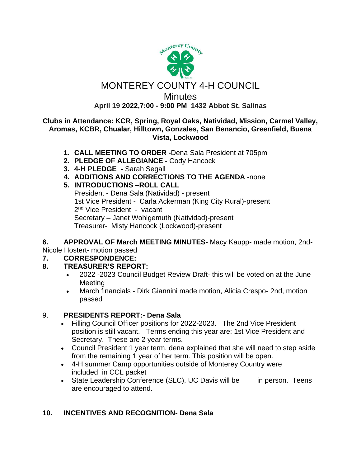

# MONTEREY COUNTY 4-H COUNCIL

**Minutes** 

**April 19 2022,7:00 - 9:00 PM 1432 Abbot St, Salinas**

#### **Clubs in Attendance: KCR, Spring, Royal Oaks, Natividad, Mission, Carmel Valley, Aromas, KCBR, Chualar, Hilltown, Gonzales, San Benancio, Greenfield, Buena Vista, Lockwood**

- **1. CALL MEETING TO ORDER -**Dena Sala President at 705pm
- **2. PLEDGE OF ALLEGIANCE -** Cody Hancock
- **3. 4-H PLEDGE -** Sarah Segall
- **4. ADDITIONS AND CORRECTIONS TO THE AGENDA** -none
- **5. INTRODUCTIONS –ROLL CALL**

President - Dena Sala (Natividad) - present 1st Vice President - Carla Ackerman (King City Rural)-present 2<sup>nd</sup> Vice President - vacant Secretary – Janet Wohlgemuth (Natividad)-present Treasurer- Misty Hancock (Lockwood)-present

**6. APPROVAL OF March MEETING MINUTES-** Macy Kaupp- made motion, 2nd-

Nicole Hostert- motion passed

## **7. CORRESPONDENCE:**

## **8. TREASURER'S REPORT:**

- 2022 -2023 Council Budget Review Draft- this will be voted on at the June Meeting
- March financials Dirk Giannini made motion, Alicia Crespo- 2nd, motion passed

## 9. **PRESIDENTS REPORT:- Dena Sala**

- Filling Council Officer positions for 2022-2023. The 2nd Vice President position is still vacant. Terms ending this year are: 1st Vice President and Secretary. These are 2 year terms.
- Council President 1 year term. dena explained that she will need to step aside from the remaining 1 year of her term. This position will be open.
- 4-H summer Camp opportunities outside of Monterey Country were included in CCL packet
- State Leadership Conference (SLC), UC Davis will be in person. Teens are encouraged to attend.

## **10. INCENTIVES AND RECOGNITION- Dena Sala**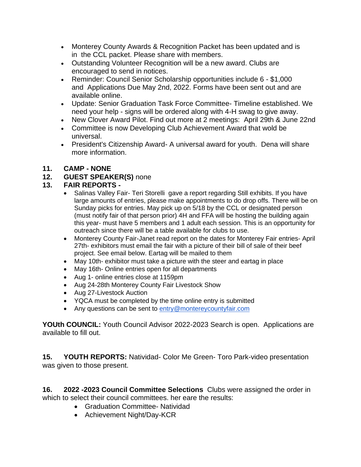- Monterey County Awards & Recognition Packet has been updated and is in the CCL packet. Please share with members.
- Outstanding Volunteer Recognition will be a new award. Clubs are encouraged to send in notices.
- Reminder: Council Senior Scholarship opportunities include 6 \$1,000 and Applications Due May 2nd, 2022. Forms have been sent out and are available online.
- Update: Senior Graduation Task Force Committee- Timeline established. We need your help - signs will be ordered along with 4-H swag to give away.
- New Clover Award Pilot. Find out more at 2 meetings: April 29th & June 22nd
- Committee is now Developing Club Achievement Award that wold be universal.
- President's Citizenship Award- A universal award for youth. Dena will share more information.
- **11. CAMP - NONE**

## **12. GUEST SPEAKER(S)** none

## **13. FAIR REPORTS -**

- Salinas Valley Fair- Teri Storelli gave a report regarding Still exhibits. If you have large amounts of entries, please make appointments to do drop offs. There will be on Sunday picks for entries. May pick up on 5/18 by the CCL or designated person (must notify fair of that person prior) 4H and FFA will be hosting the building again this year- must have 5 members and 1 adult each session. This is an opportunity for outreach since there will be a table available for clubs to use.
- Monterey County Fair-Janet read report on the dates for Monterey Fair entries- April 27th- exhibitors must email the fair with a picture of their bill of sale of their beef project. See email below. Eartag will be mailed to them
- May 10th- exhibitor must take a picture with the steer and eartag in place
- May 16th- Online entries open for all departments
- Aug 1- online entries close at 1159pm
- Aug 24-28th Monterey County Fair Livestock Show
- Aug 27-Livestock Auction
- YQCA must be completed by the time online entry is submitted
- Any questions can be sent to [entry@montereycountyfair.com](mailto:entry@montereycountyfair.com)

**YOUth COUNCIL:** Youth Council Advisor 2022-2023 Search is open. Applications are available to fill out.

**15. YOUTH REPORTS:** Natividad- Color Me Green- Toro Park-video presentation was given to those present.

**16. 2022 -2023 Council Committee Selections** Clubs were assigned the order in which to select their council committees. her eare the results:

- Graduation Committee- Natividad
- Achievement Night/Day-KCR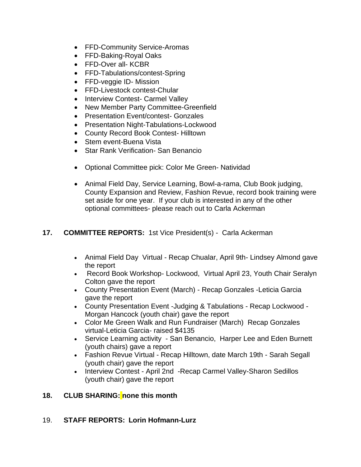- FFD-Community Service-Aromas
- FFD-Baking-Royal Oaks
- FFD-Over all- KCBR
- FFD-Tabulations/contest-Spring
- FFD-veggie ID- Mission
- FFD-Livestock contest-Chular
- Interview Contest- Carmel Valley
- New Member Party Committee-Greenfield
- Presentation Event/contest- Gonzales
- Presentation Night-Tabulations-Lockwood
- County Record Book Contest- Hilltown
- Stem event-Buena Vista
- Star Rank Verification- San Benancio
- Optional Committee pick: Color Me Green- Natividad
- Animal Field Day, Service Learning, Bowl-a-rama, Club Book judging, County Expansion and Review, Fashion Revue, record book training were set aside for one year. If your club is interested in any of the other optional committees- please reach out to Carla Ackerman

#### **17. COMMITTEE REPORTS:** 1st Vice President(s) - Carla Ackerman

- Animal Field Day Virtual Recap Chualar, April 9th- Lindsey Almond gave the report
- Record Book Workshop- Lockwood, Virtual April 23, Youth Chair Seralyn Colton gave the report
- County Presentation Event (March) Recap Gonzales -Leticia Garcia gave the report
- County Presentation Event -Judging & Tabulations Recap Lockwood Morgan Hancock (youth chair) gave the report
- Color Me Green Walk and Run Fundraiser (March) Recap Gonzales virtual-Leticia Garcia- raised \$4135
- Service Learning activity San Benancio, Harper Lee and Eden Burnett (youth chairs) gave a report
- Fashion Revue Virtual Recap Hilltown, date March 19th Sarah Segall (youth chair) gave the report
- Interview Contest April 2nd Recap Carmel Valley-Sharon Sedillos (youth chair) gave the report

#### **18. CLUB SHARING: none this month**

#### 19. **STAFF REPORTS: Lorin Hofmann-Lurz**